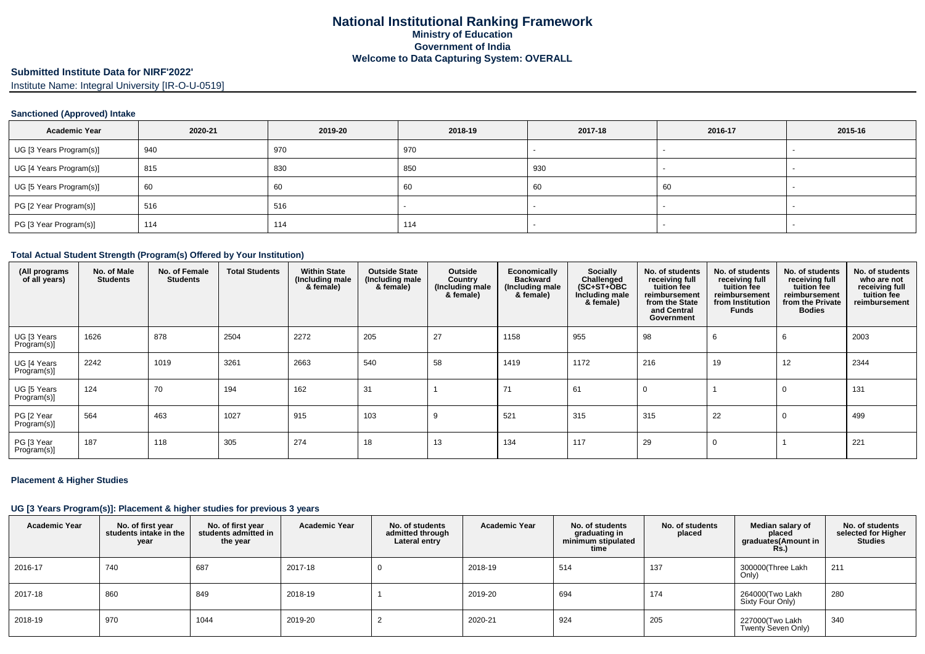## **Submitted Institute Data for NIRF'2022'**

Institute Name: Integral University [IR-O-U-0519]

#### **Sanctioned (Approved) Intake**

| <b>Academic Year</b>    | 2020-21 | 2019-20 | 2018-19 | 2017-18 | 2016-17 | 2015-16 |
|-------------------------|---------|---------|---------|---------|---------|---------|
| UG [3 Years Program(s)] | 940     | 970     | 970     |         |         |         |
| UG [4 Years Program(s)] | 815     | 830     | 850     | 930     |         |         |
| UG [5 Years Program(s)] | 60      | 60      | 60      | 60      | 60      |         |
| PG [2 Year Program(s)]  | 516     | 516     |         |         |         |         |
| PG [3 Year Program(s)]  | 114     | 114     | 114     |         |         |         |

#### **Total Actual Student Strength (Program(s) Offered by Your Institution)**

| (All programs<br>of all years) | No. of Male<br><b>Students</b> | No. of Female<br><b>Students</b> | <b>Total Students</b> | <b>Within State</b><br>(Including male<br>& female) | <b>Outside State</b><br>(Including male<br>& female) | Outside<br>Country<br>(Including male<br>& female) | Economically<br><b>Backward</b><br>(Including male<br>& female) | Socially<br>Challenged<br>$(SC+ST+OBC)$<br>Including male<br>& female) | No. of students<br>receiving full<br>tuition fee<br>reimbursement<br>from the State<br>and Central<br>Government | No. of students<br>receiving full<br>tuition fee<br>reimbursement<br>from Institution<br>Funds | No. of students<br>receiving full<br>tuition fee<br>reimbursement<br>from the Private<br><b>Bodies</b> | No. of students<br>who are not<br>receiving full<br>tuition fee<br>reimbursement |
|--------------------------------|--------------------------------|----------------------------------|-----------------------|-----------------------------------------------------|------------------------------------------------------|----------------------------------------------------|-----------------------------------------------------------------|------------------------------------------------------------------------|------------------------------------------------------------------------------------------------------------------|------------------------------------------------------------------------------------------------|--------------------------------------------------------------------------------------------------------|----------------------------------------------------------------------------------|
| UG [3 Years<br>Program(s)]     | 1626                           | 878                              | 2504                  | 2272                                                | 205                                                  | 27                                                 | 1158                                                            | 955                                                                    | 98                                                                                                               | 6                                                                                              |                                                                                                        | 2003                                                                             |
| UG [4 Years<br>Program(s)]     | 2242                           | 1019                             | 3261                  | 2663                                                | 540                                                  | 58                                                 | 1419                                                            | 1172                                                                   | 216                                                                                                              | 19                                                                                             | 12                                                                                                     | 2344                                                                             |
| UG [5 Years<br>Program(s)]     | 124                            | 70                               | 194                   | 162                                                 | 31                                                   |                                                    | 71                                                              | 61                                                                     |                                                                                                                  |                                                                                                |                                                                                                        | 131                                                                              |
| PG [2 Year<br>Program(s)]      | 564                            | 463                              | 1027                  | 915                                                 | 103                                                  | 9                                                  | 521                                                             | 315                                                                    | 315                                                                                                              | 22                                                                                             |                                                                                                        | 499                                                                              |
| PG [3 Year<br>Program(s)]      | 187                            | 118                              | 305                   | 274                                                 | 18                                                   | 13                                                 | 134                                                             | 117                                                                    | 29                                                                                                               | $\Omega$                                                                                       |                                                                                                        | 221                                                                              |

#### **Placement & Higher Studies**

## **UG [3 Years Program(s)]: Placement & higher studies for previous 3 years**

| <b>Academic Year</b> | No. of first year<br>students intake in the<br>year | No. of first vear<br>students admitted in<br>the year | <b>Academic Year</b> | No. of students<br>admitted through<br>Lateral entry | <b>Academic Year</b> | No. of students<br>graduating in<br>minimum stipulated<br>time | No. of students<br>placed | Median salary of<br>placed<br>graduates(Amount in<br><b>Rs.)</b> | No. of students<br>selected for Higher<br>Studies |
|----------------------|-----------------------------------------------------|-------------------------------------------------------|----------------------|------------------------------------------------------|----------------------|----------------------------------------------------------------|---------------------------|------------------------------------------------------------------|---------------------------------------------------|
| 2016-17              | 740                                                 | 687                                                   | 2017-18              |                                                      | 2018-19              | 514                                                            | 137                       | 300000(Three Lakh<br>Only)                                       | 211                                               |
| 2017-18              | 860                                                 | 849                                                   | 2018-19              |                                                      | 2019-20              | 694                                                            | 174                       | 264000(Two Lakh<br>Sixty Four Only)                              | 280                                               |
| 2018-19              | 970                                                 | 1044                                                  | 2019-20              |                                                      | 2020-21              | 924                                                            | 205                       | 227000(Two Lakh<br>Twenty Seven Only)                            | 340                                               |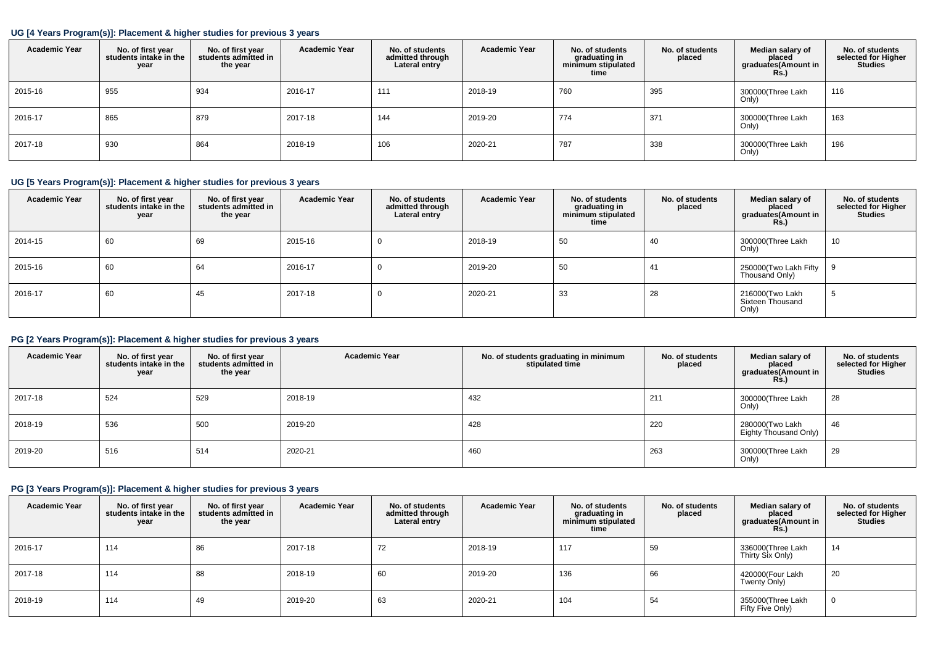#### **UG [4 Years Program(s)]: Placement & higher studies for previous 3 years**

| <b>Academic Year</b> | No. of first year<br>students intake in the<br>year | No. of first year<br>students admitted in<br>the year | <b>Academic Year</b> | No. of students<br>admitted through<br>Lateral entry | <b>Academic Year</b> | No. of students<br>graduating in<br>minimum stipulated<br>time | No. of students<br>placed | Median salary of<br>placed<br>graduates(Amount in<br><b>Rs.)</b> | No. of students<br>selected for Higher<br><b>Studies</b> |
|----------------------|-----------------------------------------------------|-------------------------------------------------------|----------------------|------------------------------------------------------|----------------------|----------------------------------------------------------------|---------------------------|------------------------------------------------------------------|----------------------------------------------------------|
| 2015-16              | 955                                                 | 934                                                   | 2016-17              | 111                                                  | 2018-19              | 760                                                            | 395                       | 300000(Three Lakh<br>Only)                                       | 116                                                      |
| 2016-17              | 865                                                 | 879                                                   | 2017-18              | 144                                                  | 2019-20              | 774                                                            | 371                       | 300000(Three Lakh<br>Only)                                       | 163                                                      |
| 2017-18              | 930                                                 | 864                                                   | 2018-19              | 106                                                  | 2020-21              | 787                                                            | 338                       | 300000(Three Lakh<br>Only)                                       | 196                                                      |

## **UG [5 Years Program(s)]: Placement & higher studies for previous 3 years**

| <b>Academic Year</b> | No. of first year<br>students intake in the<br>year | No. of first year<br>students admitted in<br>the year | <b>Academic Year</b> | No. of students<br>admitted through<br>Lateral entry | <b>Academic Year</b> | No. of students<br>graduating in<br>minimum stipulated<br>time | No. of students<br>placed | Median salary of<br>placed<br>graduates(Amount in<br><b>Rs.)</b> | No. of students<br>selected for Higher<br><b>Studies</b> |
|----------------------|-----------------------------------------------------|-------------------------------------------------------|----------------------|------------------------------------------------------|----------------------|----------------------------------------------------------------|---------------------------|------------------------------------------------------------------|----------------------------------------------------------|
| 2014-15              | 60                                                  | 69                                                    | 2015-16              |                                                      | 2018-19              | 50                                                             | 40                        | 300000(Three Lakh<br>Only)                                       | 10                                                       |
| 2015-16              | 60                                                  | 64                                                    | 2016-17              |                                                      | 2019-20              | -50                                                            | 41                        | 250000(Two Lakh Fifty   9<br>Thousand Only)                      |                                                          |
| 2016-17              | 60                                                  | 45                                                    | 2017-18              |                                                      | 2020-21              | 33                                                             | 28                        | 216000(Two Lakh<br>Sixteen Thousand<br>Only)                     |                                                          |

# **PG [2 Years Program(s)]: Placement & higher studies for previous 3 years**

| <b>Academic Year</b> | No. of first year<br>students intake in the<br>year | No. of first vear<br>students admitted in<br>the year | <b>Academic Year</b> | No. of students graduating in minimum<br>stipulated time | No. of students<br>placed | Median salary of<br>placed<br>graduates(Amount in<br>Rs.) | No. of students<br>selected for Higher<br><b>Studies</b> |
|----------------------|-----------------------------------------------------|-------------------------------------------------------|----------------------|----------------------------------------------------------|---------------------------|-----------------------------------------------------------|----------------------------------------------------------|
| 2017-18              | 524                                                 | 529                                                   | 2018-19              | 432                                                      | 211                       | 300000(Three Lakh<br>Only)                                | 28                                                       |
| 2018-19              | 536                                                 | 500                                                   | 2019-20              | 428                                                      | 220                       | 280000(Two Lakh<br>Eighty Thousand Only)                  | 46                                                       |
| 2019-20              | 516                                                 | 514                                                   | 2020-21              | 460                                                      | 263                       | 300000(Three Lakh<br>Only)                                | 29                                                       |

# **PG [3 Years Program(s)]: Placement & higher studies for previous 3 years**

| <b>Academic Year</b> | No. of first year<br>students intake in the<br>year | No. of first year<br>students admitted in<br>the year | <b>Academic Year</b> | No. of students<br>admitted through<br>Lateral entry | <b>Academic Year</b> | No. of students<br>graduating in<br>minimum stipulated<br>time | No. of students<br>placed | Median salary of<br>placed<br>graduates(Amount in<br>Rs.) | No. of students<br>selected for Higher<br><b>Studies</b> |
|----------------------|-----------------------------------------------------|-------------------------------------------------------|----------------------|------------------------------------------------------|----------------------|----------------------------------------------------------------|---------------------------|-----------------------------------------------------------|----------------------------------------------------------|
| 2016-17              | 114                                                 | 86                                                    | 2017-18              | 72                                                   | 2018-19              | 117                                                            | 59                        | 336000(Three Lakh<br>Thirty Six Only)                     | 14                                                       |
| 2017-18              | 114                                                 | 88                                                    | 2018-19              | 60                                                   | 2019-20              | 136                                                            | 66                        | 420000(Four Lakh<br>Twenty Only)                          | 20                                                       |
| 2018-19              | 114                                                 | 49                                                    | 2019-20              | 63                                                   | 2020-21              | 104                                                            | 54                        | 355000(Three Lakh<br>Fifty Five Only)                     | $\mathbf 0$                                              |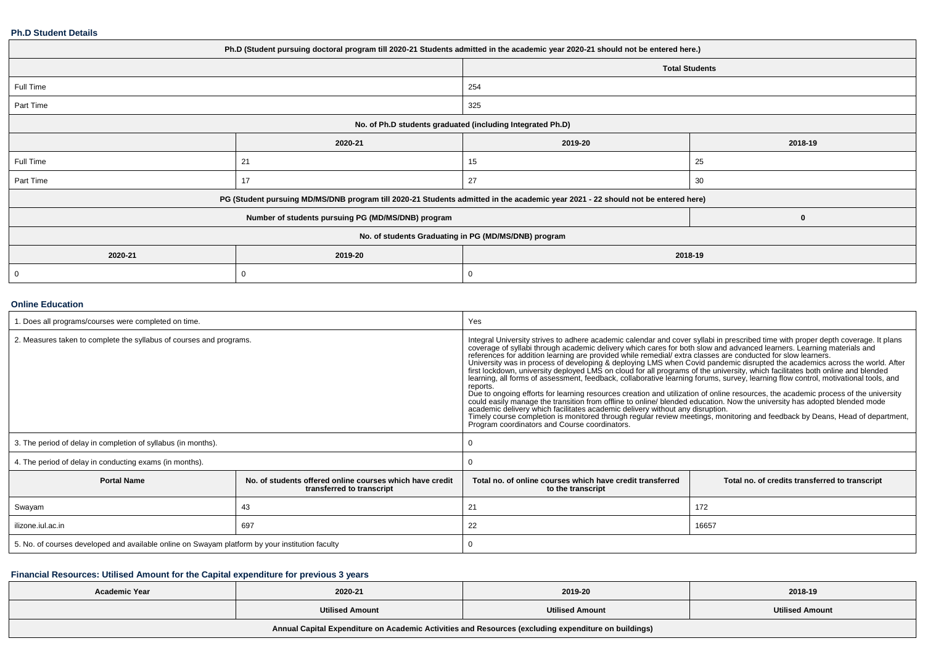#### **Ph.D Student Details**

| Ph.D (Student pursuing doctoral program till 2020-21 Students admitted in the academic year 2020-21 should not be entered here.) |                                                                                                                                  |         |                       |  |  |  |
|----------------------------------------------------------------------------------------------------------------------------------|----------------------------------------------------------------------------------------------------------------------------------|---------|-----------------------|--|--|--|
|                                                                                                                                  |                                                                                                                                  |         | <b>Total Students</b> |  |  |  |
| Full Time                                                                                                                        |                                                                                                                                  | 254     |                       |  |  |  |
| Part Time                                                                                                                        |                                                                                                                                  | 325     |                       |  |  |  |
| No. of Ph.D students graduated (including Integrated Ph.D)                                                                       |                                                                                                                                  |         |                       |  |  |  |
|                                                                                                                                  | 2020-21                                                                                                                          | 2019-20 | 2018-19               |  |  |  |
| Full Time                                                                                                                        | 21                                                                                                                               | 15      | 25                    |  |  |  |
| Part Time                                                                                                                        | 17                                                                                                                               | 27      | 30                    |  |  |  |
|                                                                                                                                  | PG (Student pursuing MD/MS/DNB program till 2020-21 Students admitted in the academic year 2021 - 22 should not be entered here) |         |                       |  |  |  |
|                                                                                                                                  | Number of students pursuing PG (MD/MS/DNB) program                                                                               |         | 0                     |  |  |  |
| No. of students Graduating in PG (MD/MS/DNB) program                                                                             |                                                                                                                                  |         |                       |  |  |  |
| 2020-21                                                                                                                          | 2019-20<br>2018-19                                                                                                               |         |                       |  |  |  |
| 0                                                                                                                                | C                                                                                                                                | 0       |                       |  |  |  |

#### **Online Education**

| . Does all programs/courses were completed on time.                                             |                                                                                       | Yes                                                                                                                                                                                                                                                                                                                                                                                                                                                                                                                                                                                                                                                                                                                                                                                                                                                                                                                                                                                                                                                                                                                                                                                                                                                                                      |                                                |  |  |
|-------------------------------------------------------------------------------------------------|---------------------------------------------------------------------------------------|------------------------------------------------------------------------------------------------------------------------------------------------------------------------------------------------------------------------------------------------------------------------------------------------------------------------------------------------------------------------------------------------------------------------------------------------------------------------------------------------------------------------------------------------------------------------------------------------------------------------------------------------------------------------------------------------------------------------------------------------------------------------------------------------------------------------------------------------------------------------------------------------------------------------------------------------------------------------------------------------------------------------------------------------------------------------------------------------------------------------------------------------------------------------------------------------------------------------------------------------------------------------------------------|------------------------------------------------|--|--|
| 2. Measures taken to complete the syllabus of courses and programs.                             |                                                                                       | Integral University strives to adhere academic calendar and cover syllabi in prescribed time with proper depth coverage. It plans<br>coverage of syllabi through academic delivery which cares for both slow and advanced learners. Learning materials and<br>references for addition learning are provided while remedial/ extra classes are conducted for slow learn<br>University was in process of developing & deploying LMS when Covid pandemic disrupted the academics across the world. After<br>first lockdown, university deployed LMS on cloud for all programs of the university, which facilitates both online and blended learning, all forms of assessment, feedback, collaborative learning forums, survey, learning fl<br>reports.<br>Due to ongoing efforts for learning resources creation and utilization of online resources, the academic process of the university<br>could easily manage the transition from offline to online/ blended education. Now the university has adopted blended mode<br>academic delivery which facilitates academic delivery without any disruption.<br>Timely course completion is monitored through regular review meetings, monitoring and feedback by Deans, Head of department,<br>Program coordinators and Course coordinators. |                                                |  |  |
| 3. The period of delay in completion of syllabus (in months).                                   |                                                                                       |                                                                                                                                                                                                                                                                                                                                                                                                                                                                                                                                                                                                                                                                                                                                                                                                                                                                                                                                                                                                                                                                                                                                                                                                                                                                                          |                                                |  |  |
| 4. The period of delay in conducting exams (in months).                                         |                                                                                       |                                                                                                                                                                                                                                                                                                                                                                                                                                                                                                                                                                                                                                                                                                                                                                                                                                                                                                                                                                                                                                                                                                                                                                                                                                                                                          |                                                |  |  |
| <b>Portal Name</b>                                                                              | No. of students offered online courses which have credit<br>transferred to transcript | Total no. of online courses which have credit transferred<br>to the transcript                                                                                                                                                                                                                                                                                                                                                                                                                                                                                                                                                                                                                                                                                                                                                                                                                                                                                                                                                                                                                                                                                                                                                                                                           | Total no. of credits transferred to transcript |  |  |
| Swayam                                                                                          | 43                                                                                    | 21                                                                                                                                                                                                                                                                                                                                                                                                                                                                                                                                                                                                                                                                                                                                                                                                                                                                                                                                                                                                                                                                                                                                                                                                                                                                                       | 172                                            |  |  |
| ilizone.iul.ac.in                                                                               | 697                                                                                   | 22<br>16657                                                                                                                                                                                                                                                                                                                                                                                                                                                                                                                                                                                                                                                                                                                                                                                                                                                                                                                                                                                                                                                                                                                                                                                                                                                                              |                                                |  |  |
| 5. No. of courses developed and available online on Swayam platform by your institution faculty |                                                                                       |                                                                                                                                                                                                                                                                                                                                                                                                                                                                                                                                                                                                                                                                                                                                                                                                                                                                                                                                                                                                                                                                                                                                                                                                                                                                                          |                                                |  |  |

## **Financial Resources: Utilised Amount for the Capital expenditure for previous 3 years**

| <b>Academic Year</b>                                                                                 | 2020-21                | 2019-20                | 2018-19                |  |  |  |
|------------------------------------------------------------------------------------------------------|------------------------|------------------------|------------------------|--|--|--|
|                                                                                                      | <b>Utilised Amount</b> | <b>Utilised Amount</b> | <b>Utilised Amount</b> |  |  |  |
| Annual Capital Expenditure on Academic Activities and Resources (excluding expenditure on buildings) |                        |                        |                        |  |  |  |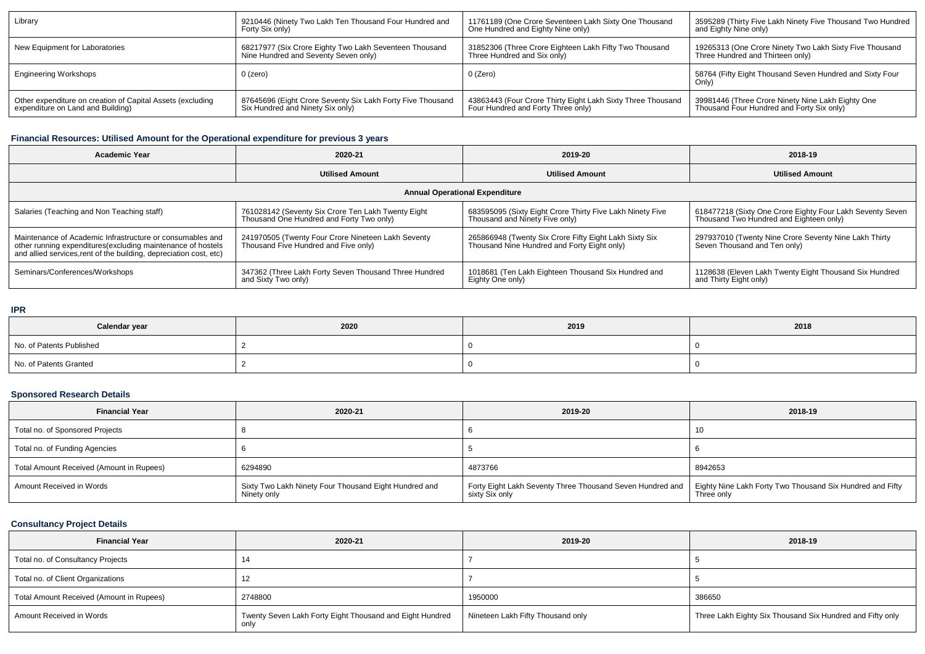| Library                                                                                         | 9210446 (Ninety Two Lakh Ten Thousand Four Hundred and                                         | 11761189 (One Crore Seventeen Lakh Sixty One Thousand                                             | 3595289 (Thirty Five Lakh Ninety Five Thousand Two Hundred                                     |
|-------------------------------------------------------------------------------------------------|------------------------------------------------------------------------------------------------|---------------------------------------------------------------------------------------------------|------------------------------------------------------------------------------------------------|
|                                                                                                 | Forty Six only)                                                                                | One Hundred and Eighty Nine only)                                                                 | and Eighty Nine only)                                                                          |
| New Equipment for Laboratories                                                                  | 68217977 (Six Crore Eighty Two Lakh Seventeen Thousand                                         | 31852306 (Three Crore Eighteen Lakh Fifty Two Thousand                                            | 19265313 (One Crore Ninety Two Lakh Sixty Five Thousand                                        |
|                                                                                                 | Nine Hundred and Seventy Seven only)                                                           | Three Hundred and Six only)                                                                       | Three Hundred and Thirteen only)                                                               |
| <b>Engineering Workshops</b>                                                                    | $0$ (zero)                                                                                     | 0 (Zero)                                                                                          | 58764 (Fifty Eight Thousand Seven Hundred and Sixty Four<br>Only                               |
| Other expenditure on creation of Capital Assets (excluding<br>expenditure on Land and Building) | 87645696 (Eight Crore Seventy Six Lakh Forty Five Thousand<br>Six Hundred and Ninety Six only) | 43863443 (Four Crore Thirty Eight Lakh Sixty Three Thousand<br>Four Hundred and Forty Three only) | 39981446 (Three Crore Ninety Nine Lakh Eighty One<br>Thousand Four Hundred and Forty Six only) |

## **Financial Resources: Utilised Amount for the Operational expenditure for previous 3 years**

| Academic Year                                                                                                                     | 2020-21                                               |                                                           | 2018-19                                                   |  |  |  |  |  |
|-----------------------------------------------------------------------------------------------------------------------------------|-------------------------------------------------------|-----------------------------------------------------------|-----------------------------------------------------------|--|--|--|--|--|
|                                                                                                                                   | <b>Utilised Amount</b>                                | <b>Utilised Amount</b>                                    | <b>Utilised Amount</b>                                    |  |  |  |  |  |
| <b>Annual Operational Expenditure</b>                                                                                             |                                                       |                                                           |                                                           |  |  |  |  |  |
| Salaries (Teaching and Non Teaching staff)                                                                                        | 761028142 (Seventy Six Crore Ten Lakh Twenty Eight    | 683595095 (Sixty Eight Crore Thirty Five Lakh Ninety Five | 618477218 (Sixty One Crore Eighty Four Lakh Seventy Seven |  |  |  |  |  |
|                                                                                                                                   | Thousand One Hundred and Forty Two only)              | Thousand and Ninety Five only)                            | Thousand Two Hundred and Eighteen only)                   |  |  |  |  |  |
| Maintenance of Academic Infrastructure or consumables and                                                                         | 241970505 (Twenty Four Crore Nineteen Lakh Seventy    | 265866948 (Twenty Six Crore Fifty Eight Lakh Sixty Six    | 297937010 (Twenty Nine Crore Seventy Nine Lakh Thirty     |  |  |  |  |  |
| other running expenditures(excluding maintenance of hostels<br>and allied services, rent of the building, depreciation cost, etc) | Thousand Five Hundred and Five only)                  | Thousand Nine Hundred and Forty Eight only)               | Seven Thousand and Ten only)                              |  |  |  |  |  |
| Seminars/Conferences/Workshops                                                                                                    | 347362 (Three Lakh Forty Seven Thousand Three Hundred | 1018681 (Ten Lakh Eighteen Thousand Six Hundred and       | 1128638 (Eleven Lakh Twenty Eight Thousand Six Hundred    |  |  |  |  |  |
|                                                                                                                                   | and Sixty Two only)                                   | Eighty One only)                                          | and Thirty Eight only)                                    |  |  |  |  |  |

## **IPR**

| Calendar year            | 2020 | 2019 | 2018 |
|--------------------------|------|------|------|
| No. of Patents Published |      |      |      |
| No. of Patents Granted   |      |      |      |

## **Sponsored Research Details**

| <b>Financial Year</b>                    | 2020-21                                                              | 2019-20                                                                     | 2018-19                                                                 |
|------------------------------------------|----------------------------------------------------------------------|-----------------------------------------------------------------------------|-------------------------------------------------------------------------|
| Total no. of Sponsored Projects          |                                                                      |                                                                             | 10                                                                      |
| Total no. of Funding Agencies            |                                                                      |                                                                             |                                                                         |
| Total Amount Received (Amount in Rupees) | 6294890                                                              | 4873766                                                                     | 8942653                                                                 |
| Amount Received in Words                 | Sixty Two Lakh Ninety Four Thousand Eight Hundred and<br>Ninety only | Forty Eight Lakh Seventy Three Thousand Seven Hundred and<br>sixty Six only | Eighty Nine Lakh Forty Two Thousand Six Hundred and Fifty<br>Three only |

## **Consultancy Project Details**

| <b>Financial Year</b>                    | 2020-21                                                  | 2019-20                           | 2018-19                                                   |
|------------------------------------------|----------------------------------------------------------|-----------------------------------|-----------------------------------------------------------|
| Total no. of Consultancy Projects        | 14                                                       |                                   |                                                           |
| Total no. of Client Organizations        | 12                                                       |                                   |                                                           |
| Total Amount Received (Amount in Rupees) | 2748800                                                  | 1950000                           | 386650                                                    |
| Amount Received in Words                 | Twenty Seven Lakh Forty Eight Thousand and Eight Hundred | Nineteen Lakh Fifty Thousand only | Three Lakh Eighty Six Thousand Six Hundred and Fifty only |